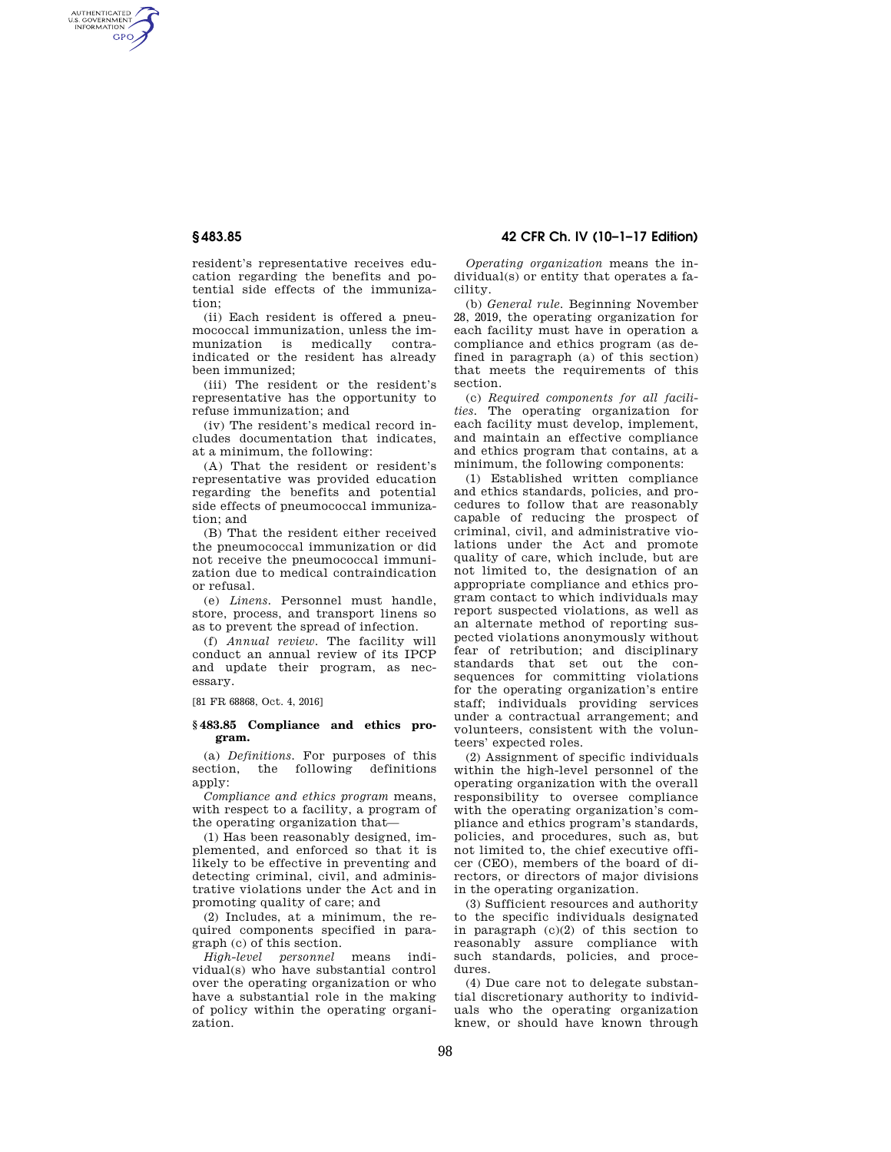AUTHENTICATED<br>U.S. GOVERNMENT<br>INFORMATION GPO

**§ 483.85 42 CFR Ch. IV (10–1–17 Edition)** 

resident's representative receives education regarding the benefits and potential side effects of the immunization;

(ii) Each resident is offered a pneumococcal immunization, unless the immunization is medically contraindicated or the resident has already been immunized;

(iii) The resident or the resident's representative has the opportunity to refuse immunization; and

(iv) The resident's medical record includes documentation that indicates, at a minimum, the following:

(A) That the resident or resident's representative was provided education regarding the benefits and potential side effects of pneumococcal immunization; and

(B) That the resident either received the pneumococcal immunization or did not receive the pneumococcal immunization due to medical contraindication or refusal.

(e) *Linens.* Personnel must handle, store, process, and transport linens so as to prevent the spread of infection.

(f) *Annual review.* The facility will conduct an annual review of its IPCP and update their program, as necessary.

[81 FR 68868, Oct. 4, 2016]

## **§ 483.85 Compliance and ethics program.**

(a) *Definitions.* For purposes of this section, the following definitions apply:

*Compliance and ethics program* means, with respect to a facility, a program of the operating organization that—

(1) Has been reasonably designed, implemented, and enforced so that it is likely to be effective in preventing and detecting criminal, civil, and administrative violations under the Act and in promoting quality of care; and

(2) Includes, at a minimum, the required components specified in paragraph (c) of this section.

*High-level personnel* means individual(s) who have substantial control over the operating organization or who have a substantial role in the making of policy within the operating organization.

*Operating organization* means the individual(s) or entity that operates a facility.

(b) *General rule.* Beginning November 28, 2019, the operating organization for each facility must have in operation a compliance and ethics program (as defined in paragraph (a) of this section) that meets the requirements of this section.

(c) *Required components for all facilities.* The operating organization for each facility must develop, implement, and maintain an effective compliance and ethics program that contains, at a minimum, the following components:

(1) Established written compliance and ethics standards, policies, and procedures to follow that are reasonably capable of reducing the prospect of criminal, civil, and administrative violations under the Act and promote quality of care, which include, but are not limited to, the designation of an appropriate compliance and ethics program contact to which individuals may report suspected violations, as well as an alternate method of reporting suspected violations anonymously without fear of retribution; and disciplinary standards that set out the consequences for committing violations for the operating organization's entire staff; individuals providing services under a contractual arrangement; and volunteers, consistent with the volunteers' expected roles.

(2) Assignment of specific individuals within the high-level personnel of the operating organization with the overall responsibility to oversee compliance with the operating organization's compliance and ethics program's standards, policies, and procedures, such as, but not limited to, the chief executive officer (CEO), members of the board of directors, or directors of major divisions in the operating organization.

(3) Sufficient resources and authority to the specific individuals designated in paragraph (c)(2) of this section to reasonably assure compliance with such standards, policies, and procedures.

(4) Due care not to delegate substantial discretionary authority to individuals who the operating organization knew, or should have known through